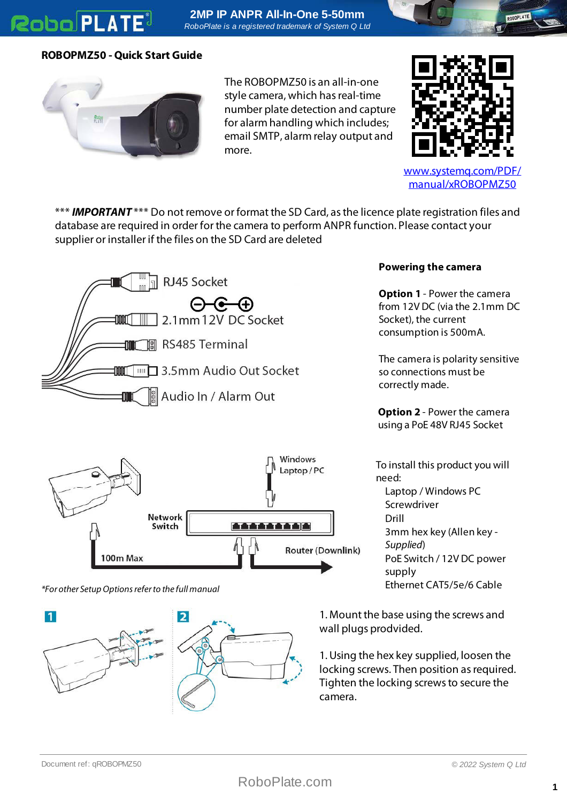## **Robo PLATE**

**2MP IP ANPR All-In-One 5-50mm** *RoboPlate is a registered trademark of System Q Ltd*

## **ROBOPMZ50 - Quick Start Guide**



The ROBOPMZ50 is an all-in-one style camera, which has real-time number plate detection and capture for alarm handling which includes; email SMTP, alarm relay output and more.



[www.systemq.com/PDF/](http://www.systemq.com/PDF/manual/xROBOPMZ50) [manual/xROBOPMZ50](http://www.systemq.com/PDF/manual/xROBOPMZ50)

\*\*\* **IMPORTANT** \*\*\* Do not remove or format the SD Card, as the licence plate registration files and database are required in order for the camera to perform ANPR function. Please contact your supplier or installer if the files on the SD Card are deleted





\*For other Setup Options refer to the full manual



## **Powering the camera**

**Option 1** - Power the camera from 12V DC (via the 2.1mm DC Socket), the current consumption is 500mA.

The camera is polarity sensitive so connections must be correctly made.

**Option 2** - Power the camera using a PoE 48V RJ45 Socket

To install this product you will need: Laptop / Windows PC Screwdriver Drill 3mm hex key (Allen key - Supplied) PoE Switch / 12V DC power supply Ethernet CAT5/5e/6 Cable

1. Mount the base using the screws and wall plugs prodvided.

1. Using the hex key supplied, loosen the locking screws. Then position as required. Tighten the locking screws to secure the camera.